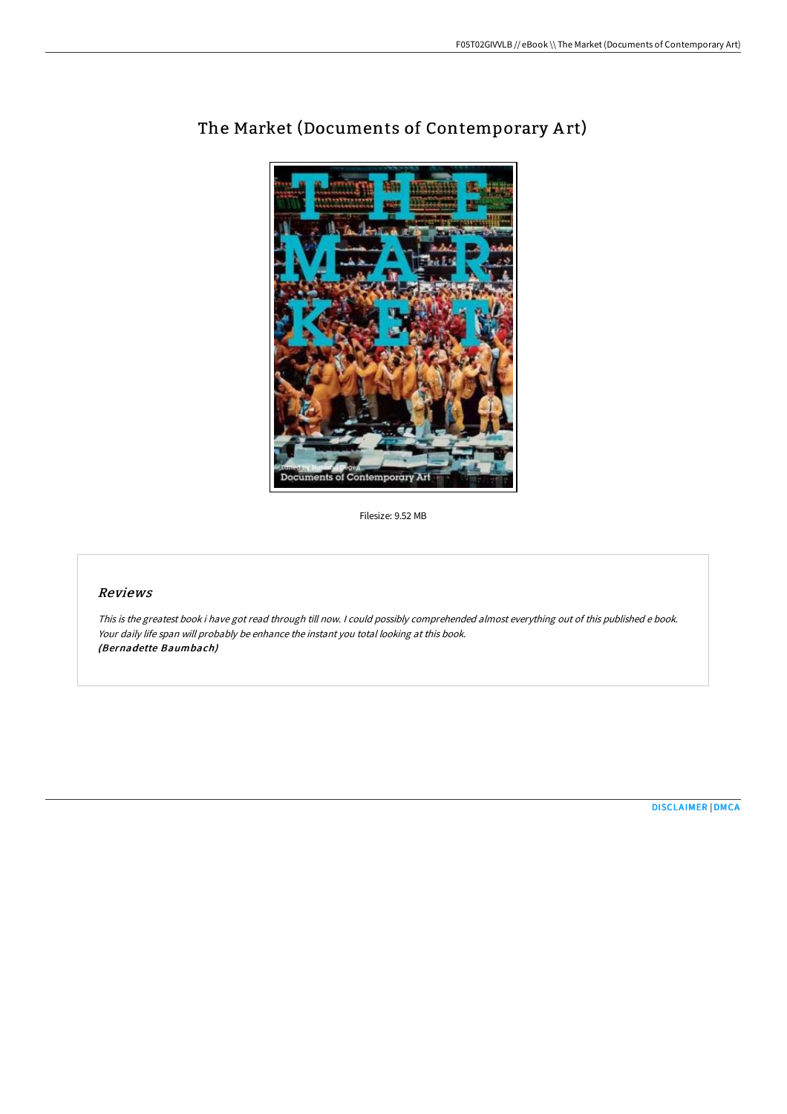

# The Market (Documents of Contemporary A rt)

Filesize: 9.52 MB

# Reviews

This is the greatest book i have got read through till now. <sup>I</sup> could possibly comprehended almost everything out of this published <sup>e</sup> book. Your daily life span will probably be enhance the instant you total looking at this book. (Bernadette Baumbach)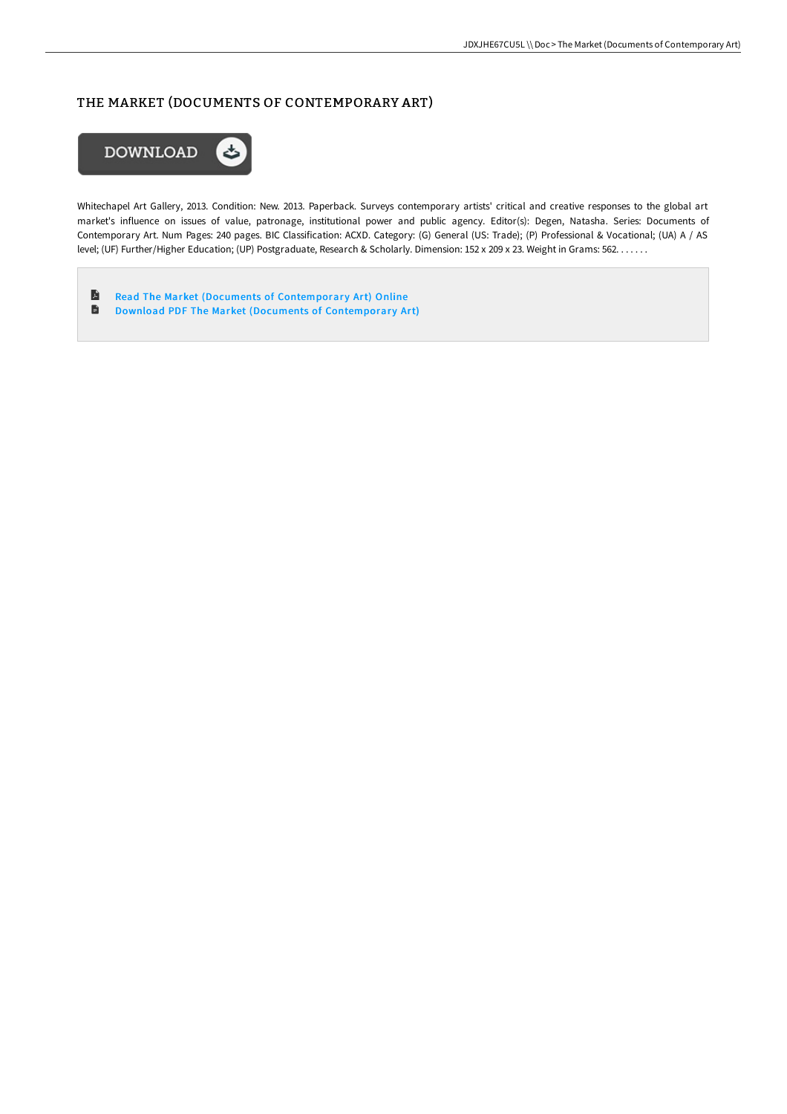## THE MARKET (DOCUMENTS OF CONTEMPORARY ART)



Whitechapel Art Gallery, 2013. Condition: New. 2013. Paperback. Surveys contemporary artists' critical and creative responses to the global art market's influence on issues of value, patronage, institutional power and public agency. Editor(s): Degen, Natasha. Series: Documents of Contemporary Art. Num Pages: 240 pages. BIC Classification: ACXD. Category: (G) General (US: Trade); (P) Professional & Vocational; (UA) A / AS level; (UF) Further/Higher Education; (UP) Postgraduate, Research & Scholarly. Dimension: 152 x 209 x 23. Weight in Grams: 562. . . . . . .

 $\blacksquare$ Read The Market (Documents of [Contemporar](http://techno-pub.tech/the-market-documents-of-contemporary-art.html)y Art) Online  $\blacksquare$ Download PDF The Market (Documents of [Contemporar](http://techno-pub.tech/the-market-documents-of-contemporary-art.html)y Art)